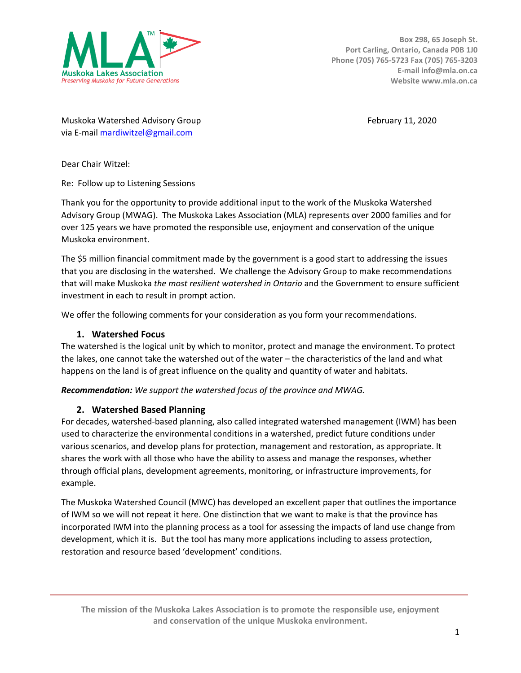

Muskoka Watershed Advisory Group February 11, 2020 via E-mail [mardiwitzel@gmail.com](mailto:mardiwitzel@gmail.com)

Dear Chair Witzel:

Re: Follow up to Listening Sessions

Thank you for the opportunity to provide additional input to the work of the Muskoka Watershed Advisory Group (MWAG). The Muskoka Lakes Association (MLA) represents over 2000 families and for over 125 years we have promoted the responsible use, enjoyment and conservation of the unique Muskoka environment.

The \$5 million financial commitment made by the government is a good start to addressing the issues that you are disclosing in the watershed. We challenge the Advisory Group to make recommendations that will make Muskoka *the most resilient watershed in Ontario* and the Government to ensure sufficient investment in each to result in prompt action.

We offer the following comments for your consideration as you form your recommendations.

#### **1. Watershed Focus**

The watershed is the logical unit by which to monitor, protect and manage the environment. To protect the lakes, one cannot take the watershed out of the water – the characteristics of the land and what happens on the land is of great influence on the quality and quantity of water and habitats.

*Recommendation: We support the watershed focus of the province and MWAG.*

### **2. Watershed Based Planning**

For decades, watershed-based planning, also called integrated watershed management (IWM) has been used to characterize the environmental conditions in a watershed, predict future conditions under various scenarios, and develop plans for protection, management and restoration, as appropriate. It shares the work with all those who have the ability to assess and manage the responses, whether through official plans, development agreements, monitoring, or infrastructure improvements, for example.

The Muskoka Watershed Council (MWC) has developed an excellent paper that outlines the importance of IWM so we will not repeat it here. One distinction that we want to make is that the province has incorporated IWM into the planning process as a tool for assessing the impacts of land use change from development, which it is. But the tool has many more applications including to assess protection, restoration and resource based 'development' conditions.

**The mission of the Muskoka Lakes Association is to promote the responsible use, enjoyment and conservation of the unique Muskoka environment.**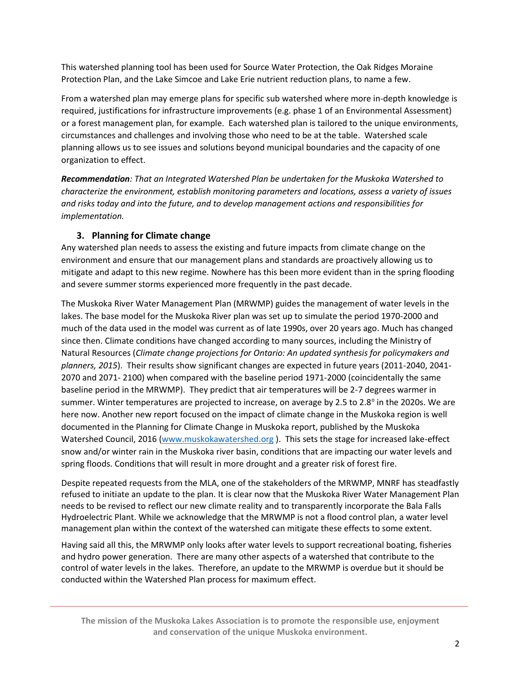This watershed planning tool has been used for Source Water Protection, the Oak Ridges Moraine Protection Plan, and the Lake Simcoe and Lake Erie nutrient reduction plans, to name a few.

From a watershed plan may emerge plans for specific sub watershed where more in-depth knowledge is required, justifications for infrastructure improvements (e.g. phase 1 of an Environmental Assessment) or a forest management plan, for example. Each watershed plan is tailored to the unique environments, circumstances and challenges and involving those who need to be at the table. Watershed scale planning allows us to see issues and solutions beyond municipal boundaries and the capacity of one organization to effect.

*Recommendation: That an Integrated Watershed Plan be undertaken for the Muskoka Watershed to characterize the environment, establish monitoring parameters and locations, assess a variety of issues and risks today and into the future, and to develop management actions and responsibilities for implementation.*

# **3. Planning for Climate change**

Any watershed plan needs to assess the existing and future impacts from climate change on the environment and ensure that our management plans and standards are proactively allowing us to mitigate and adapt to this new regime. Nowhere has this been more evident than in the spring flooding and severe summer storms experienced more frequently in the past decade.

The Muskoka River Water Management Plan (MRWMP) guides the management of water levels in the lakes. The base model for the Muskoka River plan was set up to simulate the period 1970-2000 and much of the data used in the model was current as of late 1990s, over 20 years ago. Much has changed since then. Climate conditions have changed according to many sources, including the Ministry of Natural Resources (*Climate change projections for Ontario: An updated synthesis for policymakers and planners, 2015*). Their results show significant changes are expected in future years (2011-2040, 2041- 2070 and 2071- 2100) when compared with the baseline period 1971-2000 (coincidentally the same baseline period in the MRWMP). They predict that air temperatures will be 2-7 degrees warmer in summer. Winter temperatures are projected to increase, on average by 2.5 to 2.8 $^{\circ}$  in the 2020s. We are here now. Another new report focused on the impact of climate change in the Muskoka region is well documented in the Planning for Climate Change in Muskoka report, published by the Muskoka Watershed Council, 2016 [\(www.muskokawatershed.org](http://www.muskokawatershed.org/)). This sets the stage for increased lake-effect snow and/or winter rain in the Muskoka river basin, conditions that are impacting our water levels and spring floods. Conditions that will result in more drought and a greater risk of forest fire.

Despite repeated requests from the MLA, one of the stakeholders of the MRWMP, MNRF has steadfastly refused to initiate an update to the plan. It is clear now that the Muskoka River Water Management Plan needs to be revised to reflect our new climate reality and to transparently incorporate the Bala Falls Hydroelectric Plant. While we acknowledge that the MRWMP is not a flood control plan, a water level management plan within the context of the watershed can mitigate these effects to some extent.

Having said all this, the MRWMP only looks after water levels to support recreational boating, fisheries and hydro power generation. There are many other aspects of a watershed that contribute to the control of water levels in the lakes. Therefore, an update to the MRWMP is overdue but it should be conducted within the Watershed Plan process for maximum effect.

**The mission of the Muskoka Lakes Association is to promote the responsible use, enjoyment and conservation of the unique Muskoka environment.**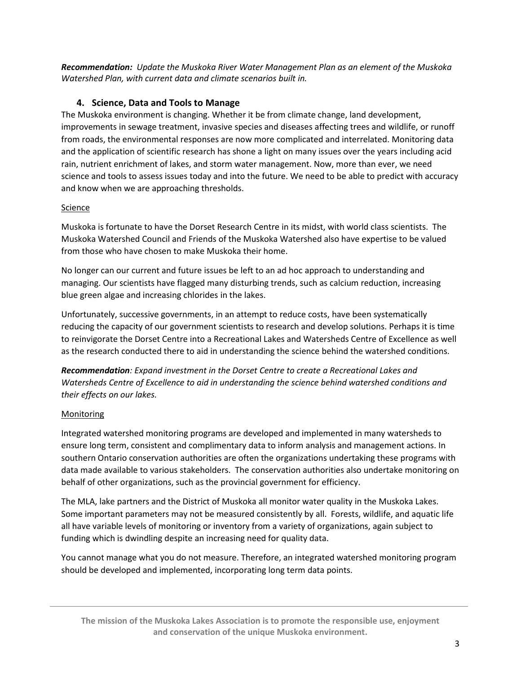*Recommendation: Update the Muskoka River Water Management Plan as an element of the Muskoka Watershed Plan, with current data and climate scenarios built in.* 

# **4. Science, Data and Tools to Manage**

The Muskoka environment is changing. Whether it be from climate change, land development, improvements in sewage treatment, invasive species and diseases affecting trees and wildlife, or runoff from roads, the environmental responses are now more complicated and interrelated. Monitoring data and the application of scientific research has shone a light on many issues over the years including acid rain, nutrient enrichment of lakes, and storm water management. Now, more than ever, we need science and tools to assess issues today and into the future. We need to be able to predict with accuracy and know when we are approaching thresholds.

### Science

Muskoka is fortunate to have the Dorset Research Centre in its midst, with world class scientists. The Muskoka Watershed Council and Friends of the Muskoka Watershed also have expertise to be valued from those who have chosen to make Muskoka their home.

No longer can our current and future issues be left to an ad hoc approach to understanding and managing. Our scientists have flagged many disturbing trends, such as calcium reduction, increasing blue green algae and increasing chlorides in the lakes.

Unfortunately, successive governments, in an attempt to reduce costs, have been systematically reducing the capacity of our government scientists to research and develop solutions. Perhaps it is time to reinvigorate the Dorset Centre into a Recreational Lakes and Watersheds Centre of Excellence as well as the research conducted there to aid in understanding the science behind the watershed conditions.

*Recommendation: Expand investment in the Dorset Centre to create a Recreational Lakes and Watersheds Centre of Excellence to aid in understanding the science behind watershed conditions and their effects on our lakes.*

# Monitoring

Integrated watershed monitoring programs are developed and implemented in many watersheds to ensure long term, consistent and complimentary data to inform analysis and management actions. In southern Ontario conservation authorities are often the organizations undertaking these programs with data made available to various stakeholders. The conservation authorities also undertake monitoring on behalf of other organizations, such as the provincial government for efficiency.

The MLA, lake partners and the District of Muskoka all monitor water quality in the Muskoka Lakes. Some important parameters may not be measured consistently by all. Forests, wildlife, and aquatic life all have variable levels of monitoring or inventory from a variety of organizations, again subject to funding which is dwindling despite an increasing need for quality data.

You cannot manage what you do not measure. Therefore, an integrated watershed monitoring program should be developed and implemented, incorporating long term data points.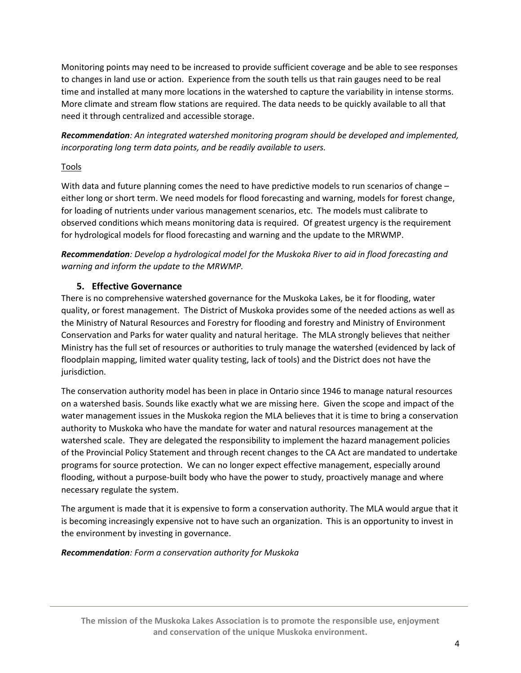Monitoring points may need to be increased to provide sufficient coverage and be able to see responses to changes in land use or action. Experience from the south tells us that rain gauges need to be real time and installed at many more locations in the watershed to capture the variability in intense storms. More climate and stream flow stations are required. The data needs to be quickly available to all that need it through centralized and accessible storage.

*Recommendation: An integrated watershed monitoring program should be developed and implemented, incorporating long term data points, and be readily available to users.*

## Tools

With data and future planning comes the need to have predictive models to run scenarios of change – either long or short term. We need models for flood forecasting and warning, models for forest change, for loading of nutrients under various management scenarios, etc. The models must calibrate to observed conditions which means monitoring data is required. Of greatest urgency is the requirement for hydrological models for flood forecasting and warning and the update to the MRWMP.

*Recommendation: Develop a hydrological model for the Muskoka River to aid in flood forecasting and warning and inform the update to the MRWMP.* 

# **5. Effective Governance**

There is no comprehensive watershed governance for the Muskoka Lakes, be it for flooding, water quality, or forest management. The District of Muskoka provides some of the needed actions as well as the Ministry of Natural Resources and Forestry for flooding and forestry and Ministry of Environment Conservation and Parks for water quality and natural heritage. The MLA strongly believes that neither Ministry has the full set of resources or authorities to truly manage the watershed (evidenced by lack of floodplain mapping, limited water quality testing, lack of tools) and the District does not have the jurisdiction.

The conservation authority model has been in place in Ontario since 1946 to manage natural resources on a watershed basis. Sounds like exactly what we are missing here. Given the scope and impact of the water management issues in the Muskoka region the MLA believes that it is time to bring a conservation authority to Muskoka who have the mandate for water and natural resources management at the watershed scale. They are delegated the responsibility to implement the hazard management policies of the Provincial Policy Statement and through recent changes to the CA Act are mandated to undertake programs for source protection. We can no longer expect effective management, especially around flooding, without a purpose-built body who have the power to study, proactively manage and where necessary regulate the system.

The argument is made that it is expensive to form a conservation authority. The MLA would argue that it is becoming increasingly expensive not to have such an organization. This is an opportunity to invest in the environment by investing in governance.

### *Recommendation: Form a conservation authority for Muskoka*